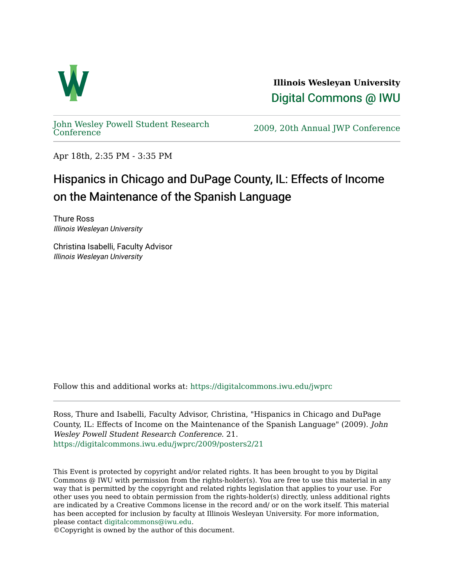

**Illinois Wesleyan University**  [Digital Commons @ IWU](https://digitalcommons.iwu.edu/) 

[John Wesley Powell Student Research](https://digitalcommons.iwu.edu/jwprc) 

2009, 20th Annual JWP [Conference](https://digitalcommons.iwu.edu/jwprc)

Apr 18th, 2:35 PM - 3:35 PM

## Hispanics in Chicago and DuPage County, IL: Effects of Income on the Maintenance of the Spanish Language

Thure Ross Illinois Wesleyan University

Christina Isabelli, Faculty Advisor Illinois Wesleyan University

Follow this and additional works at: [https://digitalcommons.iwu.edu/jwprc](https://digitalcommons.iwu.edu/jwprc?utm_source=digitalcommons.iwu.edu%2Fjwprc%2F2009%2Fposters2%2F21&utm_medium=PDF&utm_campaign=PDFCoverPages) 

Ross, Thure and Isabelli, Faculty Advisor, Christina, "Hispanics in Chicago and DuPage County, IL: Effects of Income on the Maintenance of the Spanish Language" (2009). John Wesley Powell Student Research Conference. 21. [https://digitalcommons.iwu.edu/jwprc/2009/posters2/21](https://digitalcommons.iwu.edu/jwprc/2009/posters2/21?utm_source=digitalcommons.iwu.edu%2Fjwprc%2F2009%2Fposters2%2F21&utm_medium=PDF&utm_campaign=PDFCoverPages) 

This Event is protected by copyright and/or related rights. It has been brought to you by Digital Commons @ IWU with permission from the rights-holder(s). You are free to use this material in any way that is permitted by the copyright and related rights legislation that applies to your use. For other uses you need to obtain permission from the rights-holder(s) directly, unless additional rights are indicated by a Creative Commons license in the record and/ or on the work itself. This material has been accepted for inclusion by faculty at Illinois Wesleyan University. For more information, please contact [digitalcommons@iwu.edu.](mailto:digitalcommons@iwu.edu)

©Copyright is owned by the author of this document.